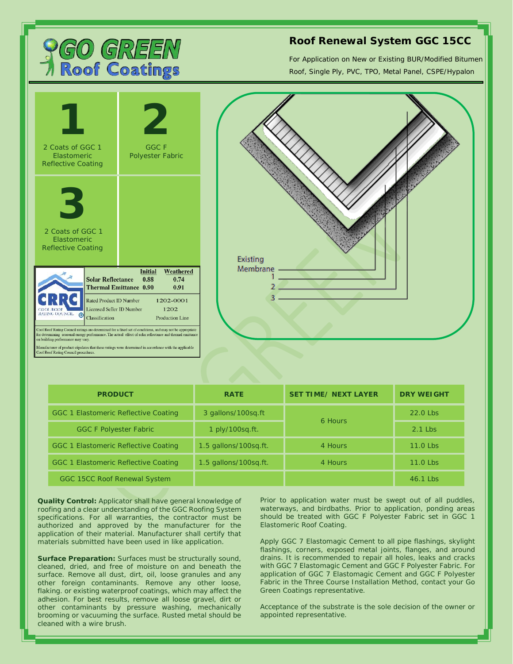

## **Roof Renewal System GGC 15CC**

For Application on New or Existing BUR/Modified Bitumen Roof, Single Ply, PVC, TPO, Metal Panel, CSPE/Hypalon





| <b>PRODUCT</b>                       | <b>RATE</b>           | <b>SET TIME/ NEXT LAYER</b> | <b>DRY WEIGHT</b> |
|--------------------------------------|-----------------------|-----------------------------|-------------------|
| GGC 1 Elastomeric Reflective Coating | 3 gallons/100sg.ft    | 6 Hours                     | $22.0$ l bs       |
| <b>GGC F Polyester Fabric</b>        | 1 ply/100sq.ft.       |                             | $2.1$ l bs        |
| GGC 1 Elastomeric Reflective Coating | 1.5 gallons/100sg.ft. | 4 Hours                     | 11.0 Lbs          |
| GGC 1 Elastomeric Reflective Coating | 1.5 gallons/100sq.ft. | 4 Hours                     | 11.0 Lbs          |
| GGC 15CC Roof Renewal System         |                       |                             | $46.1$ l bs       |

**Quality Control:** Applicator shall have general knowledge of roofing and a clear understanding of the GGC Roofing System specifications. For all warranties, the contractor must be authorized and approved by the manufacturer for the application of their material. Manufacturer shall certify that materials submitted have been used in like application.

**Surface Preparation:** Surfaces must be structurally sound, cleaned, dried, and free of moisture on and beneath the surface. Remove all dust, dirt, oil, loose granules and any other foreign contaminants. Remove any other loose, flaking. or existing waterproof coatings, which may affect the adhesion. For best results, remove all loose gravel, dirt or other contaminants by pressure washing, mechanically brooming or vacuuming the surface. Rusted metal should be cleaned with a wire brush.

Prior to application water must be swept out of all puddles, waterways, and birdbaths. Prior to application, ponding areas should be treated with GGC F Polyester Fabric set in GGC 1 Elastomeric Roof Coating.

Apply GGC 7 Elastomagic Cement to all pipe flashings, skylight flashings, corners, exposed metal joints, flanges, and around drains. It is recommended to repair all holes, leaks and cracks with GGC 7 Elastomagic Cement and GGC F Polyester Fabric. For application of GGC 7 Elastomagic Cement and GGC F Polyester Fabric in the Three Course Installation Method, contact your Go Green Coatings representative.

Acceptance of the substrate is the sole decision of the owner or appointed representative.